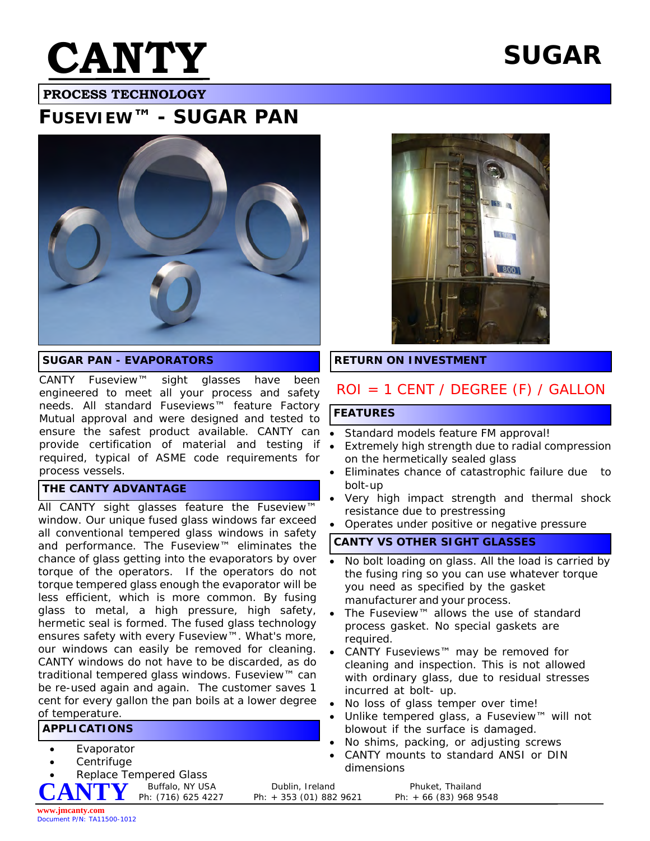

# **SUGAR**

 **PROCESS TECHNOLOGY**

## **FUSEVIEW™ - SUGAR PAN**



#### **SUGAR PAN - EVAPORATORS**

CANTY Fuseview™ sight glasses have been engineered to meet all your process and safety needs. All standard Fuseviews™ feature Factory Mutual approval and were designed and tested to ensure the safest product available. CANTY can . provide certification of material and testing if required, typical of ASME code requirements for process vessels.

#### **THE CANTY ADVANTAGE**

All CANTY sight glasses feature the Fuseview™ window. Our unique fused glass windows far exceed all conventional tempered glass windows in safety and performance. The Fuseview™ eliminates the chance of glass getting into the evaporators by over torque of the operators. If the operators do not torque tempered glass enough the evaporator will be less efficient, which is more common. By fusing glass to metal, a high pressure, high safety, hermetic seal is formed. The fused glass technology ensures safety with every Fuseview™. What's more, our windows can easily be removed for cleaning. CANTY windows do not have to be discarded, as do traditional tempered glass windows. Fuseview™ can be re-used again and again. The customer saves 1 cent for every gallon the pan boils at a lower degree of temperature.

#### **APPLICATIONS**

- **Evaporator**
- **Centrifuge**

**Replace Tempered Glass**<br>**NITIMZ** Buffalo, NY USA **CANTY**



#### **RETURN ON INVESTMENT**

### ROI = 1 CENT / DEGREE (F) / GALLON

#### **FEATURES**

- Standard models feature FM approval!
- Extremely high strength due to radial compression on the hermetically sealed glass
- Eliminates chance of catastrophic failure due to bolt-up
- · Very high impact strength and thermal shock resistance due to prestressing
- Operates under positive or negative pressure

#### **CANTY VS OTHER SIGHT GLASSES**

- · No bolt loading on glass. All the load is carried by the fusing ring so you can use whatever torque you need as specified by the gasket manufacturer and your process.
- · The Fuseview™ allows the use of standard process gasket. No special gaskets are required.
- · CANTY Fuseviews™ may be removed for cleaning and inspection. This is not allowed with ordinary glass, due to residual stresses incurred at bolt- up.
- No loss of glass temper over time!
- · Unlike tempered glass, a Fuseview™ will not blowout if the surface is damaged.
- · No shims, packing, or adjusting screws
- CANTY mounts to standard ANSI or DIN dimensions

Buffalo, NY USA Dublin, Ireland Phuket, Thailand Ph: (716) 625 4227 Ph: + 353 (01) 882 9621 Ph: + 66 (83) 968 9 Ph: + 66 (83) 968 9548

**www.jmcanty.com** Document P/N: TA11500-1012